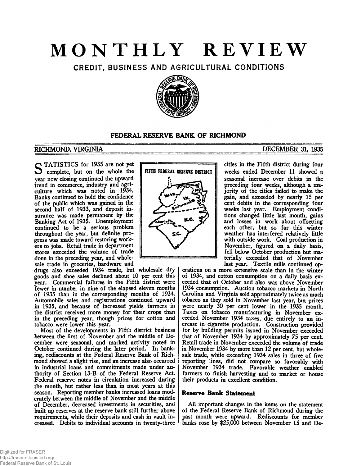# **MONTHLY REVIEW**

CREDIT, BUSINESS AND AGRICULTURAL CONDITIONS



# **FEDERAL RESERVE BANK OF RICHMOND**

## **RICHMOND, VIRGINIA\_\_\_\_\_\_\_\_\_\_\_\_\_\_\_\_\_\_\_\_\_\_\_\_\_\_\_\_\_\_\_\_\_\_\_\_\_\_\_\_\_\_\_\_\_\_\_\_\_\_\_ DECEMBER 31, 1935**

TATISTICS for 1935 are not yet complete, but on the whole the year now closing continued the upward trend in commerce, industry and agriculture which was noted in 1934. Banks continued to hold the confidence of the public which was gained in the second half of 1933, and deposit insurance was made permanent by the Banking Act of 1935. Unemployment continued to be a serious problem throughout the year, but definite progress was made toward restoring workers to jobs. Retail trade in department stores exceeded the volume of trade done in the preceding year, and wholesale trade in groceries, hardware and

drugs also exceeded 1934 trade, but wholesale **dry** goods and shoe sales declined about 10 per cent this year. Commercial failures in the Fifth district were fewer in number in nine of the elapsed eleven months of 1935 than in the corresponding months of 1934. Automobile sales and registrations continued upward in 1935, and because of increased yields farmers in the district received more money for their crops than in the preceding year, though prices for cotton and tobacco were lower this year.

Most of the developments in Fifth district business between the first of November and the middle of December were seasonal, and marked activity noted in October continued during the later period. In banking, rediscounts at the Federal Reserve Bank of Richmond showed a slight rise, and an increase also occurred i in industrial loans and commitments made under authority of Section 13-B of the Federal Reserve Act. Federal reserve notes in circulation increased during the month, but rather less than in most years at this season. Reporting member banks increased loans moderately between the middle of November and the middle of December, decreased investments in securities, and built up reserves at the reserve bank still further above requirements, while their deposits and cash in vault increased. Debits to individual accounts in twenty-three



cities in the Fifth district during four weeks ended December 11 showed a seasonal increase over debits in the preceding four weeks, although a majority of the cities failed to make the gain, and exceeded by nearly 15 per cent debits in the corresponding four weeks last year. Employment conditions changed little last month, gains and losses in work about offsetting each other, but so far this winter weather has interfered relatively little with outside work. Coal production in November, figured on a daily basis, fell below October production but materially exceeded that of November last year. Textile mills continued op-

erations on a more extensive scale than in the winter of 1934, and cotton consumption on a daily basis exceeded that of October and also was above November 1934 consumption. Auction tobacco markets in North Carolina and Virginia sold approximately twice as much tobacco as they sold in November last year, but prices were nearly 30 per cent lower in the 1935 month. Taxes on tobacco manufacturing in November exceeded November 1934 taxes, due entirely to an increase in cigarette production. Construction provided for by building permits issued in November exceeded that of November 1934 by approximately 75 per cent. Retail trade in November exceeded the volume of trade in November 1934 by more than 12 per cent, but wholesale trade, while exceeding 1934 sales in three of five j reporting lines, did not compare so favorably with November 1934 trade. Favorable weather enabled farmers to finish harvesting and to market or house their products in excellent condition.

### **Reserve Bank Statement**

All important changes in the items on the statement of the Federal Reserve Bank of Richmond during the past month were upward. Rediscounts for member banks rose by \$25,000 between November 15 and De-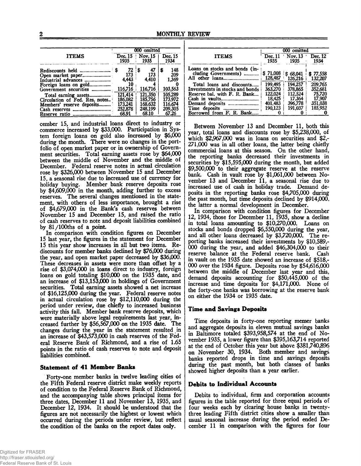|                                               | 000 omitted     |                 |                 |  |
|-----------------------------------------------|-----------------|-----------------|-----------------|--|
| <b>ITEMS</b>                                  | Dec. 15<br>1935 | Nov. 15<br>1935 | Dec. 15<br>1934 |  |
|                                               | - \$<br>72      | 47<br>\$        | 148<br>s        |  |
|                                               | 173             | 173             | 209             |  |
| Industrial advances                           | 4.443           | 4.410           | 1.369           |  |
| Foreign loans on gold                         | 10              | 4               |                 |  |
| Government securities                         | 116.716         | 116,716         | 103,563         |  |
| Total earning assets                          | 121.414         | 121,350         | 105,289         |  |
| Circulation of Fed. Res. notes                | 186,082         | 185.756         | 173,972         |  |
| Members' reserve deposits                     | 173.241         | 168,632         | 116.674         |  |
| Cash reserves<br>---------------------------- | 252.878         | 248,199         | 209,305         |  |
|                                               | 68.91           | 68.10           | 67.26           |  |

cember 15, and industrial loans direct to industry or commerce increased by \$33,000. Participation in System foreign loans on gold also increased by \$6,000 during the month. There were no changes in the portfolio of open market paper or in ownership of Government securities. Total earning assets rose by \$64,000 between the middle of November and the middle of December. Federal reserve notes in actual circulation rose by \$326,000 between November 15 and December 15, a seasonal rise due to increased use of currency for holiday **buying.** Member bank reserve deposits rose by \$4,609,000 in the month, adding further to excess reserves. The several changes mentioned in the statement, with others of less importance, brought a rise of \$4,679,000 in the Bank's cash reserves between November 15 and December 15, and raised the ratio of cash reserves to note and deposit liabilities combined by  $81/100$ ths of a point.

In comparison with condition figures on December 15 last year, the figures in the statement for December 15 this year show increases in all but two items. Rediscounts for member banks declined by \$76,000 during the year, and open market paper decreased by \$36,000. These decreases in assets were more than offset by a rise of \$3,074,000 in loans direct to industry, foreign loans on gold totaling \$10,000 on the 1935 date, and an increase of \$13,153,000 in holdings of Government securities. Total earning assets showed a net increase of \$16,125,000 during the year. Federal reserve notes in actual circulation rose by \$12,110,000 during the period under review, due chiefly to increased business activity this fall. Member bank reserve deposits, which were materially above legal requirements last year, increased further by \$56,567,000 on the 1935 date. The changes during the year in the statement resulted in an increase of \$43,573,000 in cash reserves of the Federal Reserve Bank of Richmond, and a rise of 1.65 points in the ratio of cash reserves to note and deposit liabilities combined.

#### **Statement of 41 Member Banks**

Forty-one member banks in twelve leading cities of the Fifth Federal reserve district make weekly reports of condition to the Federal Reserve Bank of Richmond, and the accompanying table shows principal items for three dates, December 11 and November 13, 1935, and December 12, 1934. It should be understood that the figures are not necessarily the highest or lowest which occurred during the periods under review, but reflect the condition of the banks on the report dates only.

|                                                        | 000 omitted       |                           |                  |  |
|--------------------------------------------------------|-------------------|---------------------------|------------------|--|
| <b>ITEMS</b>                                           | Dec.11<br>1935    | $\sqrt{N}$ ov. 13<br>1935 | Dec. 12<br>1934  |  |
| Loans on stocks and bonds (in-<br>cluding Governments) | \$71,008          | \$68,041                  | \$77,558         |  |
|                                                        | 128,487           | 126,216                   | 132,207          |  |
| Total loans and discounts                              | 199.495           | 194.257                   | 209.765          |  |
| Investments in stocks and bonds                        | 363,270           | 378,865                   | 352.681          |  |
| Reserve bal. with F. R. Bank                           | 122,024<br>18.425 | 112.524<br>17.364         | 75,720<br>17,907 |  |
|                                                        | 401,483           | 396.778                   | 351.038          |  |
| Time deposits<br>-----------------------------         | 190.123           | 191.037                   | 185.952          |  |
| Borrowed from F. R. Bank                               | Ω                 |                           |                  |  |

Between November 13 and December 11, both this year, total loans and discounts rose by \$5,238,000, of which \$2,967,000 was in loans on securities and \$2,- 271,000 was in all other loans, the latter being chiefly commercial loans at this season. On the other hand, the reporting banks decreased their investments in securities by \$15,595,000 during the month, but added \$9,500,000 to their aggregate reserve at the reserve bank. Cash in vault rose by \$1,061,000 between November 13 and December 11, a seasonal rise due to increased use of cash in holiday trade. Demand deposits in the reporting banks rose \$4,705,000 during the past month, but time deposits declined by \$914,000, the latter a normal development in December.

In comparison with condition figures for December 12, 1934, those for December 11, 1935, show a decline in total loans amounting to \$10,270,000. Loans on stocks and bonds dropped \$6,550,000 during the year, and all other loans decreased by \$3,720,000. The reporting banks increased their investments by \$10,589,- 000 during the year, and added \$46,304,000 to their reserve balance at the Federal reserve bank. Cash in vault on the 1935 date showed an increase of \$518,- 000 over the 1934 figure. Deposits rose by \$54,616,000 between the middle of December last year and this, demand deposits accounting for \$50,445,000 of the increase and time deposits for \$4,171,000. None of the forty-one banks was borrowing at the reserve bank on either the 1934 or 1935 date.

#### **Time and Savings Deposits**

Time deposits in forty-one reporting memer banks and aggregate, deposits in eleven mutual savings banks in Baltimore totaled \$393,958,574 at the end of November 1935, a lower figure than \$395,163,714 reported at the end of October this year but above \$381,740,896 on November 30, 1934. Both member and savings banks reported drops in time and savings deposits during the past month, but both classes of banks showed higher deposits than a year earlier.

#### **Debits to Individual Accounts**

Debits to individual, firm and corporation accounts figures in the table reported for three equal periods of four weeks each by clearing house banks in twentythree leading Fifth district cities show a smaller than usual seasonal increase during the period ended December 11 in comparison with the figures for four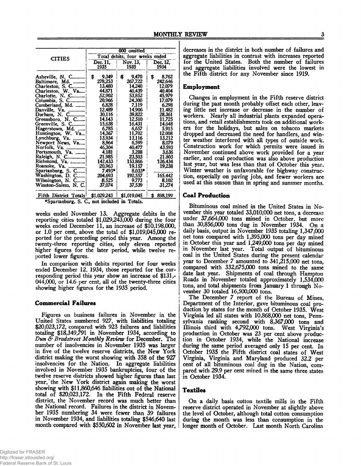|                                       | 000 omitted                    |                               |                         |  |
|---------------------------------------|--------------------------------|-------------------------------|-------------------------|--|
| <b>CITIES</b>                         | Total debits, four weeks ended |                               |                         |  |
|                                       | Dec. 11.                       | Nov. 13.                      | Dec. 12,                |  |
|                                       | 1935                           | 1935                          | 1934                    |  |
| Asheville, N. C<br>Baltimore, Md.     | 9.349<br>\$<br>278.253         | 9,470<br>\$<br>267.722        | 8.762<br>\$.<br>242,646 |  |
| Charleston, S. C                      | 13,480                         | 14.240                        | 12.079                  |  |
| Charleston, W. Va                     | 44.871                         | 40.439                        | 40.404                  |  |
| Charlotte, N. C                       | .52.902                        | 53.852                        | 45.979                  |  |
| Columbia, S. C                        | 20,966                         | 24,300                        | 17.079                  |  |
| Cumberland, Md.                       | 6.828                          | 7.119                         | 6.298                   |  |
| Danville, Va.                         | 12.489                         | 14.906                        | 11.482                  |  |
| Durham, N. C                          | 30,116                         | 39,822                        | 28,361                  |  |
| Greensboro, N. C                      | 14.143                         | 12.510                        | 11.725                  |  |
| Greenville, S. C                      | 15.638                         | 16.431                        | 14.648                  |  |
| Hagerstown, Md.                       | 6.785                          | 6,657                         | 5.915                   |  |
| Huntington, W. Va                     | 14.367                         | 11,702                        | 12.008                  |  |
| Lynchburg, Va.                        | 13.934                         | 13.116                        | 13.212                  |  |
| Newport News, Va                      | 8.964                          | 6.599                         | 8,079                   |  |
| Norfolk, Va.                          | 46,304                         | 40,477                        | 43.593                  |  |
| Portsmouth, Va.                       | 4.181                          | 3.288                         | 3.636                   |  |
| Raleigh, N. C                         | 21.985                         | 23.503                        | 21.803                  |  |
| Richmond, Va.                         | 142,433                        | 153.866                       | 126.434                 |  |
| Spartanburg, S. C<br>Washington, D. C | 20,963<br>7.493*<br>204,693    | 19,157<br>$8.033*$<br>192.557 | 19.238<br>165.442       |  |
| Wilmington, N. C                      | 8,525                          | 9.773                         | 8.102                   |  |
| Winston-Salem, N. C.                  | 37,074                         | 37,539                        | 31,274                  |  |
| Fifth District Totals!                | \$1,029,243                    | \$1,019,045                   | \$898,199               |  |

<sup>\*</sup>Spartanburg, S. C., not included in Totals.

weeks ended November 13. Aggregate debits in the reporting cities totaled \$1,029,243,000 during the four weeks ended December 11, an increase of \$10,198,000, or 1.0 per cent, above the total of \$1,019,045,000 reported for the preceding period this year. Among the twenty-three reporting cities, only eleven reported higher figures for the later period, while twelve reported lower figures.

In comparison with debits reported for four weeks ended December 12, 1934, those reported for the corresponding period this year show an increase of \$131,- 044,000, or 14.6 per cent, all of the twenty-three cities showing higher figures for the 1935 period.

#### **Commercial Failures**

Figures on business failures in November in the United States numbered 927, with liabilities totaling \$20,023,172, compared with 923 failures and liabilities totaling \$18,349,791 in November 1934, according to *Dun & Bradstreet Monthly Review* for December. The number of insolvencies in November 1935 was larger in five of the twelve reserve districts, the New York district making the worst showing with 358 of the 927 insolvencies for the Nation. In aggregate liabilities involved in November 1935 bankruptcies, four of the twelve reserve districts showed higher figures than last year,'the New York district again making the worst showing with \$11,860,646 liabilities out of the National total of \$20,023,172. In the Fifth Federal reserve district, the November record was much better than the National record. Failures in the district in November 1935 numbering 34 were fewer than 39 failures in November 1934, and liabilities totaling \$546,640 last month compared with \$550,602 in November last year, decreases in the district in both number of failures and aggregate liabilities in contrast with increases reported for the United States. Both the number of failures and aggregate liabilities involved were the lowest in the Fifth district for any November since 1919.

#### **Employment**

Changes in employment in the Fifth reserve district during the past month probably offset each other, leaving little net increase or decrease in the number of workers. Nearly all industrial plants expanded operations, and retail establishments took on additional workers for the holidays, but sales on tobacco markets dropped and decreased the need for handlers, and winter weather interfered with all types of outside work. Construction work for which permits were issued in November continued above work provided for a year earlier, and coal production was also above production last year, but was less than that of October this year. Winter weather is unfavorable for highway construction, especially on paving jobs, and fewer workers are used at this season than in spring and summer months.

#### **Coal Production**

Bituminous coal mined in the United States in November this year totaled 33,010,000 net tons, a decrease under 37,664,000 tons mined in October, but more than 30,856,000 tons dug in November 1934. On a daily basis, output in November 1935 totaling 1,347,000 net tons compared with 1,395,000 tons per day mined in October this year and 1,249,000 tons per day mined in November last year. Total output of bituminous coal in the United States during the present calendar year to December 7 amounted to 341,215,000 net tons, compared with 332,675,000 tons mined to the same date last year. Shipments of coal through Hampton Roads in November totaled approximately 1,534,000 tons, and total shipments from January 1 through November 30 totaled 16,500,000 tons.

The December 7 report of the Bureau of Mines, Department of the Interior, gave bituminous coal production by states for the month of October 1935. West Virginia led all states with 10,868,000 net tons, Pennsylvania ranking second with 8,367,000 tons and Illinois third with 4,792,000 tons. West Virginia's production in October was 23 per cent above production in October 1934, while the National increase during the same period averaged only 15 per cent. In October 1935 the Fifth district coal states of West Virginia, Virginia and Maryland produced 32.2 per cent of all bituminous coal dug in the Nation, compared with 29.9 per cent mined in the same three states in October 1934.

### **Textiles**

On a daily basis cotton textile mills in the Fifth reserve district operated in November at slightly above the level of October, although total cotton consumption during the month was less than consumption in the longer month of October. Last month North Carolina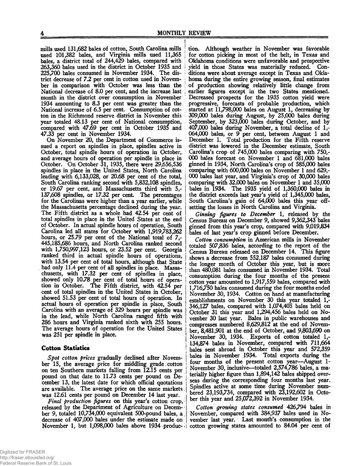mills used 131,682 bales of cotton. South Carolina mills used 101,382 bales, and Virginia mills used 11,365 bales, a district total of 244,429 bales, compared with 263,360 bales used in the district in October 1935 and 225,700 bales consumed in November 1934. The district decrease of 7.2 per cent in cotton used in November in comparison with October was less than the National decrease of 8.0 per cent, and the increase last j month in the district over consumption in November 1934 amounting to 8.3 per cent was greater than the National increase of 6.5 per cent. Consumption of cotton in the Richmond reserve district in November this year totaled 48.13 per cent of National consumption, compared with 47.69 per cent in October 1935 and 47.33 per cent in November 1934.

On November 20, the Department of Commerce issued a report on spindles in place, spindles active in October, total spindle hours of operation in October, and average hours of operation per spindle in place in October. On October 31, 1935, there were 29,656,536 spindles in place in the United States, North Carolina leading with 6,133,028, or 20.68 per cent of the total, South Carolina ranking second with 5,832,108 spindles, or 19.67 per cent, and Massachusetts third with 5,- 137,608 spindles, or 17.32 per cent. The percentages for the Carolinas were higher than a year earlier, while the Massachusetts percentage declined during the year. The Fifth district as a whole had 42.54 per cent of total spindles in place in the United States at the end of October. In actual spindle hours of operation, South Carolina led all states for October with 1,919,783,262 hours, or 25.79 per cent of the National total of 7,- 445,185,686 hours, and North Carolina ranked second with 1,750,997,123 hours, or 23.52 per cent. Georgia ranked third in actual spindle hours of operations, with 13.54 per cent of total hours, although that State had only 11.4 per cent of all spindles in place. Massachusetts, with 17.32 per cent of spindles in place, showed only 10.78 per cent of total hours of operation in October. The Fifth district, with 42.54 per cent of total spindles in the United States in October, showed 51.53 per cent of total hours of operation. In actual hours of operation per spindle in place, South Carolina with an average of 329 hours per spindle was in the lead, while North Carolina ranged fifth with 286 hours and Virginia ranked sixth with 255 hours. The average hours of operation for the United States was 251 per spindle in place.

### **Cotton Statistics**

*Spot cotton prices* gradually declined after November 15, the average price for middling grade cotton on ten Southern markets falling from 12.15 cents per pound on that date to 11.73 cents per pound on December 13, the latest date for which official quotations are available. The average price on the same markets, was 12.61 cents per pound on December 14 last year.

*Final production figures* on this year's cotton crop, released by the Department of Agriculture on December 9, totaled  $10,734,000$  equivalent  $500$ -pound bales, a decrease of 407,000 bales under the estimate made on November 1, but 1,098,000 bales above 1934 produc-

tion. Although weather in November was favorable for cotton picking in most of the belt, in Texas and Oklahoma conditions were unfavorable and prospective yield in those States was materially reduced. Conditions were about average except in Texas and Oklahoma during the entire growing season, final estimates of production showing relatively little change from earlier figures except in the two States mentioned. Decreased prospects for the 1935 cotton yield were progressive, forecasts of probable production, which started at 11,798,000 bales on August 1, decreasing by 309.000 bales during August, by 25,000 bales during September, by 323,000 bales during October, and by 407.000 bales during November, a total decline of 1,- 064.000 bales, or 9 per cent, between August 1 and December 1. Total production for the Fifth reserve district was lowered in the December estimate, South Carolina's crop of 745,000 bales comparing with 750,- 000 bales forecast on November 1 and 681,000 bales ginned in 1934, North Carolina's crop of 585,000 bales comparing with 600,000 bales on November 1 and 629,- 000 bales last year, and Virginia's crop of 30,000 bales comparing with 32,000 bales on November 1 and 35,000 bales in 1934. The 1935 yield of 1,360,000 bales in the district exceeds last year's yield of 1,345,000 bales, South Carolina's gain of 64,000 bales this year offsetting the losses in North Carolina and Virginia.

*Ginning figures to December* 1, released by the Census Bureau on December 9, showed 9,362,343 bales ginned from this year's crop, compared with 9,019,834 bales of last year's crop ginned before December.

*Cotton consumption* in American mills in November totaled 507,836 bales, according to the report of the Census Bureau released on December 14. This figure shows a decrease from 552,187 bales consumed during the longer month of October this year, but is more than 480,081 bales consumed in November 1934. Total consumption during the four months of the present cotton year amounted to 1,917,559 bales, compared with 1,716,750 bales consumed during the four months ended November 30, 1934. Cotton on hand at manufacturing establishments on November 30 this year totaled 1,- 346,127 bales, compared with 1,074,405 bales held on October 31 this year and 1,294,456 bales held on November 30 last year. Bales in public warehouses and compresses numbered 8,629,812 at the end of November, 8,481,901 at the.end of October, and 9,803,690 on November 30, 1934. Exports of cotton totaled 1,-134,874 bales in November, compared with 711,664 bales sent abroad in October this year and 572,359 bales in November 1934. Total exports during the four months of the present cotton year—August 1- November 30, inclusive—totaled 2,574,786 bales, a materially higher figure than 1,894,142 bales shipped, overseas during the corresponding four months last year. Spindles active at some time during November numbered 23,193,734, compared with 23,192,602 in October this year and 25,072,392 in November 1934.

Cotton growing states consumed 426,794 bales in November, compared with 384,937 bales used in November last year. Last month's consumption in the cotton growing states amounted to 84.04 per cent of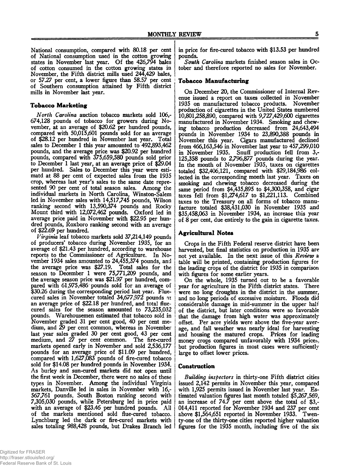National consumption, compared with 80.18 per cent of National consumption used in the cotton growing states in November last year. Of the 426,794 bales of cotton consumed in the cotton growing states in November, the Fifth district mills used 244,429 bales, or 57.27 per cent, a lower figure than 58.57 per cent of Southern consumption attained by Fifth district mills in November last year.

#### **Tobacco M arketing**

*North Carolina* auction tobacco markets sold 106,- 674,128 pounds of tobacco for growers during November, at an average of \$20.62 per hundred pounds, compared with 50,015,601 pounds sold for an average of \$28.12 per hundred in November last year. Total sales to December 1 this year amounted to 492,893,462 pounds, and the average price was \$20.92 per hundred pounds, compared with 375,659,580 pounds sold prior to December 1 last year, at an average price of \$29.04 per hundred. Sales to December this year were estimatd at 88 per cent of expected sales from the 1935 crop, whereas last year's sales to the same date represented 90 per cent of total season sales. Among the individual markets in North Carolina, Winston-Salem led in November sales with 14,517,745 pounds, Wilson ranking second with 13,590,374 pounds and Rocky Mount third with 12,072,462 pounds. Oxford led in average price paid in November with \$22.95 per hundred pounds, Roxboro ranking second with an average of \$22.69 per hundred.

*Virginia* leaf tobacco markets sold 37,214,149 pounds of producers' tobacco during November 1935, for an average of \$21.43 per hundred, according to warehouse reports to the Commissioner of Agriculture. In November 1934 sales amounted to 24,455,374 pounds, and the average price was \$27.19. Total sales for the season to December 1 were 75,771,209 pounds, and the average season price was \$21.97 per hundred, compared with 61,975,486 pounds sold for an average of \$30.26 during the corresponding period last year. Fluecured sales in November totaled 34,677,972 pounds at an average price of \$22.18 per hundred, and total fluecured sales for the season amounted to 73,235,032 pounds. Warehousemen estimated that tobacco sold in j November graded 31 per cent good, 40 per cent medium, and 29 per cent common, whereas in November last year sales graded 30 per cent good, 43 per cent medium, and 27 per cent common. The fire-cured markets opened early in November and sold 2,536,177 pounds for an average price of \$11.09 per hundred, compared with 1,627,083 pounds of fire-cured tobacco sold for \$14.08 per hundred pounds in November 1934. As burley and sun-cured markets did not open until the first week in December, there were no sales of these types in November. Among the individual Virginia markets, Danville led in sales in November with 16,- 567,761 pounds, South Boston ranking second with 7,305,030 pounds, while Petersburg led in price paid with an average of \$23.46 per hundred pounds. Ail of the markets mentioned sold flue-cured tobacco. Lynchburg led the dark or fire-cured markets with sales totaling 988,428 pounds, but Drakes Branch led

in price for fire-cured tobacco with \$13.53 per hundred pounds.

*South Carolina* markets finished season sales in October and therefore reported no sales for November.

#### **Tobacco Manufacturing**

On December 20, the Commissioner of Internal Revenue issued a report on taxes collected in November 1935 on manufactured tobacco products. November production of cigarettes in the United States numbered 10,801,258,890, compared with 9,727,429,600 cigarettes manufactured in November 1934. Smoking and chewing tobacco production decreased from 24,643,494 pounds in November 1934 to 23,890,388 pounds in November this year. Cigars manufactured declined from 466,163,546 in November last year to 457,299,010 in November 1935. Snuff production fell from 3,- 125,358 pounds to 2,796,877 pounds during the year. In the month of November 1935, taxes on cigarettes totaled \$32,406,121, compared with \$29,184,986 collected in the corresponding month last year. Taxes on smoking and chewing tobacco decreased during the same period from \$4,435,895 to \$4,300,358, and cigar taxes fell from \$1,274,617 to \$1,221,113. Combined taxes to the Treasury on all forms of tobacco manufacture totaled \$38,431,030 in November 1935 and \$35,458,063 in November 1934, an increase this year of 8 per cent, due entirely to the gain in cigarette taxes.

#### **Agricultural Notes**

Crops in the Fifth Federal reserve district have been harvested, but final statistics on production in 1935 are not yet available. In the next issue of this *Review* a table will be printed, containing production figures for the leading crops of the district for 1935 in comparison with figures for some earlier years.

On the whole, 1935 turned out to be a favorable year for agriculture in the Fifth district states. There were no long droughts in the district in the summer, and no long periods of excessive moisture. Floods did considerable damage in mid-summer in the upper half of the district, but later conditions were so favorable that the damage from high water was approximately offset. Per acre yields were above the five-year average, and fall weather was nearly ideal for harvesting and housing the matured crops. Prices for leading money crops compared unfavorably with 1934 prices, but production figures in most cases were sufficiently large to offset lower prices.

#### **Construction**

*Building inspectors* in thirty-one Fifth district cities issued 2,142 permits in November this year, compared with 1,925 permits issued in November last year. Estimated valuation figures last month totaled \$5,267,569, an increase of 74.7 per cent above the total of \$3,- 014,411 reported for November 1934 and 237 per cent above \$1,564,651 reported in November 1933. Twenty-one of the thirty-one cities reported higher valuation figures for the 1935 month, including five of the six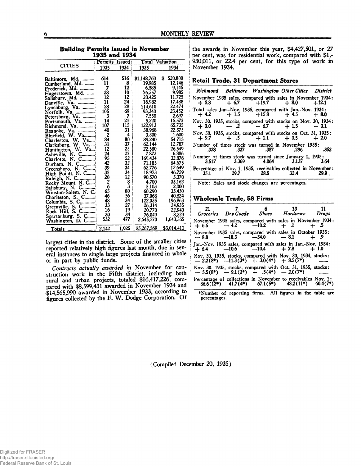|<br>|<br>|

i i

| 1935 and 1934                         |       |                                          |             |                    |  |
|---------------------------------------|-------|------------------------------------------|-------------|--------------------|--|
|                                       |       | Permits Issued<br><b>Total Valuation</b> |             |                    |  |
| <b>CITIES</b>                         | 1935  | 1934                                     | 1935        | 1934               |  |
| Baltimore, Md.                        | 614   | 516                                      | \$1,148,760 | 520,800<br>S       |  |
| Cumberland, Md.                       | 11    | 8                                        | 19,985      | 12.146             |  |
| Frederick, Md.                        | 7     | 12                                       | 6,585       | 9,145              |  |
| Hagerstown, Md.                       | 28    | 10                                       | 76.257      | 9,985              |  |
| Salishury, Md.                        | 12    | 12                                       | 20,425      | 11,725             |  |
| Va.<br>Danville.                      | 11    | 24                                       | 16,982      | 17.488             |  |
| Va.<br>Lynchburg,                     | 28    | 28                                       | 114,610     | 22,474             |  |
| Norfolk, Va.                          | 105   | 69                                       | 93,340      | 23.452             |  |
| Petersburg, Va.                       | 3     | 7                                        | 7.550       | 2.697              |  |
| Portsmouth, Va.                       | 14    | 21                                       | 5,220       | 15,575             |  |
| Richmond, Va.                         | 107   | 115                                      | 122,913     | 65,735             |  |
| Roanoke, Va.<br>                      | 40    | 31                                       | 38.968      | 22.375             |  |
| Bluefield, W. Va                      | 2     | 4                                        | 3,300       | 1.600              |  |
| <b>Va</b><br>Charleston, W.           | 84    | 80                                       | 89,240      | 54.715             |  |
| Clarksburg, W. Va                     | 31    | 37                                       | 62.144      | 12.787             |  |
| Huntington, W. Va                     | 12    | 22                                       | 22.580      | 26.549             |  |
| Asheville, N.<br>C                    | 24    | 27                                       | 7.873       | 6,886              |  |
| Charlotte, N. C                       | 95    | 52                                       | 169.434     | 32.876             |  |
| N. C.<br>Durham.                      | 42    | 32                                       | 71,185      | 64.675             |  |
| Greenshoro, N. C                      | 39    | 34                                       | 62,776      | 12.649             |  |
| High Pointt, N. C                     | 35    | 34                                       | 18.973      | 46.759             |  |
| Raleigh, N. C                         | 20    |                                          | 90.570      | 5.370              |  |
| Rocky Mount, N. C                     | 2     | $\frac{12}{8}$                           | 4.700       | 33.162             |  |
| Salisbury, N. C                       | 6     |                                          | 5.103       | 2.000              |  |
| Winston-Salem, N. C.                  | 65    | 80                                       | 60.290      | 33.430             |  |
|                                       | 46    | 56                                       | 37,068      | 40.824             |  |
| Charleston, S. C<br>Columbia, S. C    | 48    | 34                                       | 122.035     | 196.863            |  |
|                                       | 33    | 27                                       | 26,314      | 34,935             |  |
| Greenville, S. C                      | 16    | 19                                       | 20,770      | 22,940             |  |
| Rock Hill, S. C                       | 30    | 34                                       | 76.049      | 8,229              |  |
| Spartanburg, S. C<br>Washington, D. C | 532   | 477                                      | 2,645,570   | 1,643,565          |  |
|                                       |       |                                          |             |                    |  |
| Totals                                | 2,142 | <u>1,925 i</u>                           | \$5,267,569 | <u>\$3,014,411</u> |  |

**Building Permits Issued in November** 

largest cities in the district. Some of the smaller cities reported relatively high figures last month, due in several instances to single large projects financed in whole or in part by public funds.

*Contracts actually awarded* in November for construction work in the Fifth district, including both rural and urban projects, totaled \$16,417,226, compared with \$8,599,431 awarded in November 1934 and \$14,565,990 awarded in November 1933, according to figures collected by the F. W. Dodge Corporation. Of

} the awards in November this year, \$4,427,501, or 27 per cent, was for residential work, compared with \$1,j 930,011, or 22.4 per cent, for this type of work in November 1934.

#### **; Retail Trade, 31 Department Stores**

|                                                                      |                         | Richmond Baltimore Washington Other Cities District |       |
|----------------------------------------------------------------------|-------------------------|-----------------------------------------------------|-------|
| November 1935 sales, compared with sales in November 1934:           |                         | $+5.8 + 6.7 + 19.7 + 8.0 + 12.1$                    |       |
| Total sales Jan.-Nov. 1935, compared with Jan.-Nov. 1934:            |                         | $+4.2 + 1.5 + 1.5 + 158 + 4.5 + 8.0$                |       |
| Nov. 30, 1935, stocks, compared with stocks on Nov. 30, 1934:        |                         | $+3.0$ $-2$ $+6.7$ $+1.5$ $+3.1$                    |       |
| $\sim$ Nov. 30, 1935, stocks, compared with stocks on Oct. 31, 1935: |                         | $+9.7 + .5 + 1.1 + 3.5 + 2.0$                       |       |
| Number of times stock was turned in November 1935:<br>.328           | .337 .387 .296          |                                                     | - 352 |
| Number of times stock was turned since January 1, 1935:<br>3.517     | $3.369$ $4.064$ $3.137$ |                                                     | -3.64 |
| Percentage of Nov. 1, 1935, receivables collected in November:       | $35.1$ 29.7 28.5 32.4   |                                                     | 29.9  |

Note: Sales and stock changes are percentages.

#### **| W holesale Trade, 58 Firms**

| 21 |  | 7 6 13 11<br>Groceries Dry Goods Shoes Hardware Drugs                                                          |            |
|----|--|----------------------------------------------------------------------------------------------------------------|------------|
|    |  | November 1935 sales, compared with sales in November 1934:<br>$+ 6.5 - 4.2 -10.2 + 0.1 + 0.5$                  |            |
|    |  | November 1935 sales, compared with sales in October 1935:<br>--8.8 --18.3 --34.0 --8.1 + 9                     |            |
|    |  | Jan.-Nov. 1935 sales, compared with sales in Jan.-Nov. 1934:<br>$+6.4$ $-10.6$ $-10.4$ $+7.8$ $+1.0$           |            |
|    |  | Nov. 30, 1935, stocks, compared with Nov. 30, 1934, stocks:<br>$-2.2(8^*)$ --11.3(3*) + 3.0(4*) + 8.5(7*)      |            |
|    |  | Nov. 30, 1935, stocks, compared with Oct. 31, 1935, stocks:<br>- 5.5(8*) - 9.1(3*) + .5(4*) - 2.0(7*)          |            |
|    |  | Percentage of collections in November to receivables Nov. 1:<br>86.6(12*) 41.7(4*) 67.1(5*) 48.2(11*) 60.4(7*) | $60.4(7*)$ |

♦Number of reporting firms. All figures in the table are percentages.

(Compiled December 20, 1935)